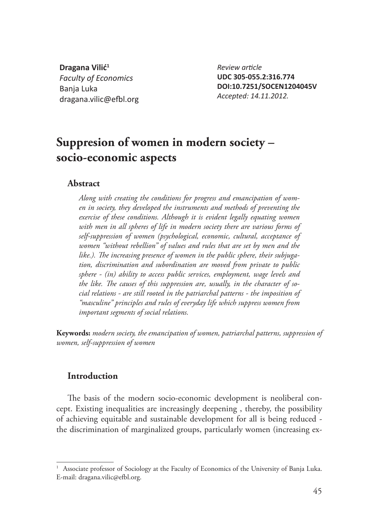**Dragana Vilić<sup>1</sup>** *Faculty of Economics* Banja Luka dragana.vilic@efbl.org

*Review arti cle* **UDC 305-055.2:316.774 DOI:10.7251/SOCEN1204045V** *Accepted: 14.11.2012.*

# **Suppresion of women in modern society – socio-economic aspects**

#### **Abstract**

*Along with creating the conditions for progress and emancipation of women in society, they developed the instruments and methods of preventing the exercise of these conditions. Although it is evident legally equating women with men in all spheres of life in modern society there are various forms of self-suppression of women (psychological, economic, cultural, acceptance of women "without rebellion" of values and rules that are set by men and the*  like.). The increasing presence of women in the public sphere, their subjuga*tion, discrimination and subordination are moved from private to public sphere - (in) ability to access public services, employment, wage levels and*  the like. The causes of this suppression are, usually, in the character of so*cial relations - are still rooted in the patriarchal patterns - the imposition of "masculine" principles and rules of everyday life which suppress women from important segments of social relations.*

**Keywords:** *modern society, the emancipation of women, patriarchal patterns, suppression of women, self-suppression of women*

#### **Introduction**

The basis of the modern socio-economic development is neoliberal concept. Existing inequalities are increasingly deepening , thereby, the possibility of achieving equitable and sustainable development for all is being reduced the discrimination of marginalized groups, particularly women (increasing ex-

<sup>&</sup>lt;sup>1</sup> Associate professor of Sociology at the Faculty of Economics of the University of Banja Luka. E-mail: dragana.vilic@efbl.org.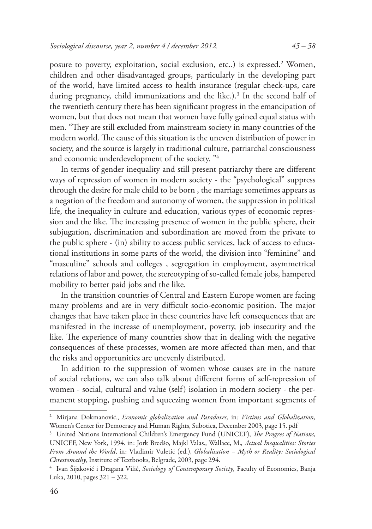posure to poverty, exploitation, social exclusion, etc..) is expressed.2 Women, children and other disadvantaged groups, particularly in the developing part of the world, have limited access to health insurance (regular check-ups, care during pregnancy, child immunizations and the like.).<sup>3</sup> In the second half of the twentieth century there has been significant progress in the emancipation of women, but that does not mean that women have fully gained equal status with men. "They are still excluded from mainstream society in many countries of the modern world. The cause of this situation is the uneven distribution of power in society, and the source is largely in traditional culture, patriarchal consciousness and economic underdevelopment of the society. "4

In terms of gender inequality and still present patriarchy there are different ways of repression of women in modern society - the "psychological" suppress through the desire for male child to be born , the marriage sometimes appears as a negation of the freedom and autonomy of women, the suppression in political life, the inequality in culture and education, various types of economic repression and the like. The increasing presence of women in the public sphere, their subjugation, discrimination and subordination are moved from the private to the public sphere - (in) ability to access public services, lack of access to educational institutions in some parts of the world, the division into "feminine" and "masculine" schools and colleges , segregation in employment, asymmetrical relations of labor and power, the stereotyping of so-called female jobs, hampered mobility to better paid jobs and the like.

In the transition countries of Central and Eastern Europe women are facing many problems and are in very difficult socio-economic position. The major changes that have taken place in these countries have left consequences that are manifested in the increase of unemployment, poverty, job insecurity and the like. The experience of many countries show that in dealing with the negative consequences of these processes, women are more affected than men, and that the risks and opportunities are unevenly distributed.

In addition to the suppression of women whose causes are in the nature of social relations, we can also talk about different forms of self-repression of women - social, cultural and value (self) isolation in modern society - the permanent stopping, pushing and squeezing women from important segments of

<sup>2</sup> Mirjana Dokmanović., *Economic globalization and Paradoxes,* in*: Victims and Globalization,*  Women's Center for Democracy and Human Rights, Subotica, December 2003, page 15. pdf

<sup>&</sup>lt;sup>3</sup> United Nations International Children's Emergency Fund (UNICEF), *The Progres of Nations*, UNICEF, New York, 1994. in: Jork Bredšo, Majkl Valas., Wallace, M., *Actual Inequalities: Stories From Around the World*, in: Vladimir Vuletić (ed.), *Globalisation – Myth or Reality: Sociological Chrestomathy*, Institute of Textbooks, Belgrade, 2003, page 294.

<sup>4</sup> Ivan Šijaković i Dragana Vilić, *Sociology of Contemporary Society,* Faculty of Economics, Banja Luka, 2010, pages 321 – 322.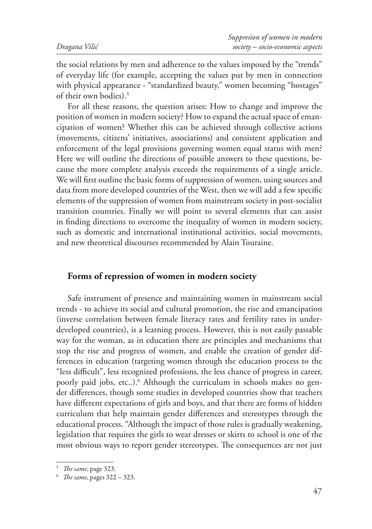the social relations by men and adherence to the values imposed by the "trends" of everyday life (for example, accepting the values put by men in connection with physical appearance - "standardized beauty," women becoming "hostages" of their own bodies).5

For all these reasons, the question arises: How to change and improve the position of women in modern society? How to expand the actual space of emancipation of women? Whether this can be achieved through collective actions (movements, citizens' initiatives, associations) and consistent application and enforcement of the legal provisions governing women equal status with men? Here we will outline the directions of possible answers to these questions, because the more complete analysis exceeds the requirements of a single article. We will first outline the basic forms of suppression of women, using sources and data from more developed countries of the West, then we will add a few specific elements of the suppression of women from mainstream society in post-socialist transition countries. Finally we will point to several elements that can assist in finding directions to overcome the inequality of women in modern society, such as domestic and international institutional activities, social movements, and new theoretical discourses recommended by Alain Touraine.

#### **Forms of repression of women in modern society**

Safe instrument of presence and maintaining women in mainstream social trends - to achieve its social and cultural promotion, the rise and emancipation (inverse correlation between female literacy rates and fertility rates in underdeveloped countries), is a learning process. However, this is not easily passable way for the woman, as in education there are principles and mechanisms that stop the rise and progress of women, and enable the creation of gender differences in education (targeting women through the education process to the "less difficult", less recognized professions, the less chance of progress in career, poorly paid jobs, etc..).<sup>6</sup> Although the curriculum in schools makes no gender differences, though some studies in developed countries show that teachers have different expectations of girls and boys, and that there are forms of hidden curriculum that help maintain gender differences and stereotypes through the educational process. "Although the impact of those rules is gradually weakening, legislation that requires the girls to wear dresses or skirts to school is one of the most obvious ways to report gender stereotypes. The consequences are not just

<sup>&</sup>lt;sup>5</sup> *The same*, page 323.

<sup>&</sup>lt;sup>6</sup> *The same*, pages 322 – 323.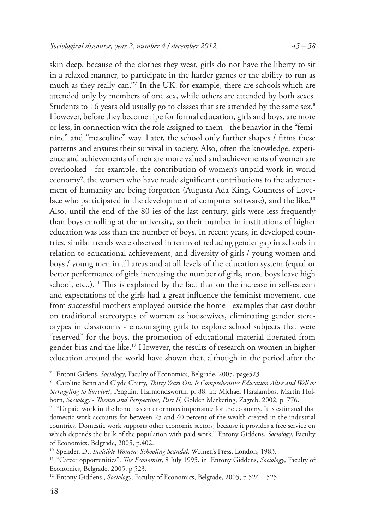skin deep, because of the clothes they wear, girls do not have the liberty to sit in a relaxed manner, to participate in the harder games or the ability to run as much as they really can."7 In the UK, for example, there are schools which are attended only by members of one sex, while others are attended by both sexes. Students to 16 years old usually go to classes that are attended by the same sex.<sup>8</sup> However, before they become ripe for formal education, girls and boys, are more or less, in connection with the role assigned to them - the behavior in the "feminine" and "masculine" way. Later, the school only further shapes / firms these patterns and ensures their survival in society. Also, often the knowledge, experience and achievements of men are more valued and achievements of women are overlooked - for example, the contribution of women's unpaid work in world economy $^\circ$ , the women who have made significant contributions to the advancement of humanity are being forgotten (Augusta Ada King, Countess of Lovelace who participated in the development of computer software), and the like.<sup>10</sup> Also, until the end of the 80-ies of the last century, girls were less frequently than boys enrolling at the university, so their number in institutions of higher education was less than the number of boys. In recent years, in developed countries, similar trends were observed in terms of reducing gender gap in schools in relation to educational achievement, and diversity of girls / young women and boys / young men in all areas and at all levels of the education system (equal or better performance of girls increasing the number of girls, more boys leave high school, etc..).<sup>11</sup> This is explained by the fact that on the increase in self-esteem and expectations of the girls had a great influence the feminist movement, cue from successful mothers employed outside the home - examples that cast doubt on traditional stereotypes of women as housewives, eliminating gender stereotypes in classrooms - encouraging girls to explore school subjects that were "reserved" for the boys, the promotion of educational material liberated from gender bias and the like.12 However, the results of research on women in higher education around the world have shown that, although in the period after the

<sup>7</sup> Entoni Gidens, *Sociology*, Faculty of Economics, Belgrade, 2005, page523.

<sup>&</sup>lt;sup>8</sup> Caroline Benn and Clyde Chitty, *Thirty Years On: Is Comprehensive Education Alive and Well or Strruggling to Survive?*, Penguin, Harmondsworth, p. 88. in: Michael Haralambos, Martin Holborn, *Sociology - Themes and Perspectives, Part II*, Golden Marketing, Zagreb, 2002, p. 776.

<sup>9</sup> "Unpaid work in the home has an enormous importance for the economy. It is estimated that domestic work accounts for between 25 and 40 percent of the wealth created in the industrial countries. Domestic work supports other economic sectors, because it provides a free service on which depends the bulk of the population with paid work." Entony Giddens, *Sociology*, Faculty of Economics, Belgrade, 2005, p.402.

<sup>10</sup> Spender, D., *Invisible Women: Schooling Scandal*, Women's Press, London, 1983.

<sup>&</sup>lt;sup>11</sup> "Career opportunities", *The Economist*, 8 July 1995. in: Entony Giddens, *Sociology*, Faculty of Economics, Belgrade, 2005, p 523.

<sup>12</sup> Entony Giddens., *Sociology*, Faculty of Economics, Belgrade, 2005, p 524 – 525.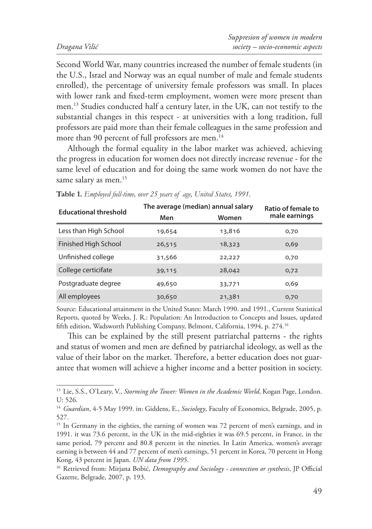Second World War, many countries increased the number of female students (in the U.S., Israel and Norway was an equal number of male and female students enrolled), the percentage of university female professors was small. In places with lower rank and fixed-term employment, women were more present than men.13 Studies conducted half a century later, in the UK, can not testify to the substantial changes in this respect - at universities with a long tradition, full professors are paid more than their female colleagues in the same profession and more than 90 percent of full professors are men.<sup>14</sup>

Although the formal equality in the labor market was achieved, achieving the progress in education for women does not directly increase revenue - for the same level of education and for doing the same work women do not have the same salary as men.<sup>15</sup>

| <b>Educational threshold</b> | The average (median) annual salary |        | Ratio of female to |
|------------------------------|------------------------------------|--------|--------------------|
|                              | Men                                | Women  | male earnings      |
| Less than High School        | 19,654                             | 13,816 | 0,70               |
| Finished High School         | 26,515                             | 18,323 | 0,69               |
| Unfinished college           | 31,566                             | 22,227 | 0,70               |
| College certicifate          | 39,115                             | 28,042 | 0,72               |
| Postgraduate degree          | 49,650                             | 33,771 | 0,69               |
| All employees                | 30,650                             | 21,381 | 0,70               |

**Table 1.** *Employed full-time, over 25 years of age, United States, 1991.*

Source: Educational attainment in the United States: March 1990. and 1991., Current Statistical Reports, quoted by Weeks, J. R.: Population: An Introduction to Concepts and Issues, updated fifth edition, Wadsworth Publishing Company, Belmont, California, 1994, p. 274.<sup>16</sup>

This can be explained by the still present patriarchal patterns - the rights and status of women and men are defined by patriarchal ideology, as well as the value of their labor on the market. Therefore, a better education does not guarantee that women will achieve a higher income and a better position in society.

<sup>&</sup>lt;sup>13</sup> Lie, S.S., O'Leary, V., *Storming the Tower: Women in the Academic World*, Kogan Page, London. U: 526.

<sup>14</sup> *Guardian*, 4-5 May 1999. in: Giddens, E., *Sociology*, Faculty of Economics, Belgrade, 2005, p. 527.

<sup>&</sup>lt;sup>15</sup> In Germany in the eighties, the earning of women was 72 percent of men's earnings, and in 1991. it was 73.6 percent, in the UK in the mid-eighties it was 69.5 percent, in France, in the same period, 79 percent and 80.8 percent in the nineties. In Latin America, women's average earning is between 44 and 77 percent of men's earnings, 51 percent in Korea, 70 percent in Hong Kong, 43 percent in Japan. *UN data from 1995*.

<sup>&</sup>lt;sup>16</sup> Retrieved from: Mirjana Bobić, *Demography and Sociology - connection or synthesis*, JP Official Gazette, Belgrade, 2007, p. 193.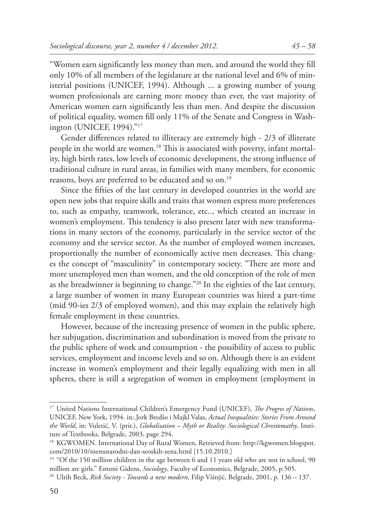"Women earn significantly less money than men, and around the world they fill only 10% of all members of the legislature at the national level and 6% of ministerial positions (UNICEF, 1994). Although ... a growing number of young women professionals are earning more money than ever, the vast majority of American women earn significantly less than men. And despite the discussion of political equality, women fill only 11% of the Senate and Congress in Washington (UNICEF, 1994)."17

Gender differences related to illiteracy are extremely high - 2/3 of illiterate people in the world are women.<sup>18</sup> This is associated with poverty, infant mortality, high birth rates, low levels of economic development, the strong influence of traditional culture in rural areas, in families with many members, for economic reasons, boys are preferred to be educated and so on.<sup>19</sup>

Since the fifties of the last century in developed countries in the world are open new jobs that require skills and traits that women express more preferences to, such as empathy, teamwork, tolerance, etc.., which created an increase in women's employment. This tendency is also present later with new transformations in many sectors of the economy, particularly in the service sector of the economy and the service sector. As the number of employed women increases, proportionally the number of economically active men decreases. This changes the concept of "masculinity" in contemporary society. "There are more and more unemployed men than women, and the old conception of the role of men as the breadwinner is beginning to change."20 In the eighties of the last century, a large number of women in many European countries was hired a part-time (mid 90-ies 2/3 of employed women), and this may explain the relatively high female employment in these countries.

However, because of the increasing presence of women in the public sphere, her subjugation, discrimination and subordination is moved from the private to the public sphere of work and consumption - the possibility of access to public services, employment and income levels and so on. Although there is an evident increase in women's employment and their legally equalizing with men in all spheres, there is still a segregation of women in employment (employment in

<sup>&</sup>lt;sup>17</sup> United Nations International Children's Emergency Fund (UNICEF), *The Progres of Nations*, UNICEF, New York, 1994. in:.Jork Bredšo i Majkl Valas, *Actual Inequalities: Stories From Around the World*, in: Vuletić, V. (prir.), *Globalisation – Myth or Reality: Sociological Chrestomathy*, Institute of Textbooks, Belgrade, 2003, page 294.

<sup>&</sup>lt;sup>18</sup> KGWOMEN. International Day of Rural Women, Retrieved from: http://kgwomen.blogspot. com/2010/10/menunarodni-dan-seoskih-zena.html [15.10.2010.]

<sup>&</sup>lt;sup>19</sup> "Of the 150 million children in the age between 6 and 11 years old who are not in school, 90 million are girls." Entoni Gidens, *Sociology*, Faculty of Economics, Belgrade, 2005, p.505.

<sup>20</sup> Ulrih Beck, *Risk Society - Towards a new modern*, Filip Višnjić, Belgrade, 2001, p. 136 – 137.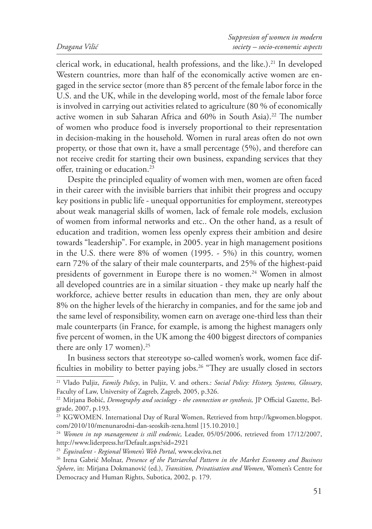clerical work, in educational, health professions, and the like.).<sup>21</sup> In developed Western countries, more than half of the economically active women are engaged in the service sector (more than 85 percent of the female labor force in the U.S. and the UK, while in the developing world, most of the female labor force is involved in carrying out activities related to agriculture (80 % of economically active women in sub Saharan Africa and 60% in South Asia).<sup>22</sup> The number of women who produce food is inversely proportional to their representation in decision-making in the household. Women in rural areas often do not own property, or those that own it, have a small percentage (5%), and therefore can not receive credit for starting their own business, expanding services that they offer, training or education.<sup>23</sup>

Despite the principled equality of women with men, women are often faced in their career with the invisible barriers that inhibit their progress and occupy key positions in public life - unequal opportunities for employment, stereotypes about weak managerial skills of women, lack of female role models, exclusion of women from informal networks and etc.. On the other hand, as a result of education and tradition, women less openly express their ambition and desire towards "leadership". For example, in 2005. year in high management positions in the U.S. there were 8% of women (1995. - 5%) in this country, women earn 72% of the salary of their male counterparts, and 25% of the highest-paid presidents of government in Europe there is no women.<sup>24</sup> Women in almost all developed countries are in a similar situation - they make up nearly half the workforce, achieve better results in education than men, they are only about 8% on the higher levels of the hierarchy in companies, and for the same job and the same level of responsibility, women earn on average one-third less than their male counterparts (in France, for example, is among the highest managers only five percent of women, in the UK among the 400 biggest directors of companies there are only 17 women).<sup>25</sup>

In business sectors that stereotype so-called women's work, women face difficulties in mobility to better paying jobs.<sup>26</sup> "They are usually closed in sectors

<sup>21</sup> Vlado Puljiz, *Family Policy*, in Puljiz, V. and others.: *Social Policy: History, Systems, Glossary*, Faculty of Law, University of Zagreb, Zagreb, 2005, p.326.

<sup>&</sup>lt;sup>22</sup> Mirjana Bobić, *Demography and sociology - the connection or synthesis*, JP Official Gazette, Belgrade, 2007, p.193.

<sup>&</sup>lt;sup>23</sup> KGWOMEN. International Day of Rural Women, Retrieved from http://kgwomen.blogspot. com/2010/10/menunarodni-dan-seoskih-zena.html [15.10.2010.]

<sup>&</sup>lt;sup>24</sup> Women in top management is still endemic, Leader, 05/05/2006, retrieved from 17/12/2007, http://www.liderpress.hr/Default.aspx?sid=2921

<sup>25</sup> *Equivalent - Regional Women's Web Portal*, www.ekviva.net

<sup>26</sup> Irena Gabrić Molnar, *Presence of the Patriarchal Pattern in the Market Economy and Business Sphere*, in: Mirjana Dokmanović (ed.), *Transition, Privatisation and Women*, Women's Centre for Democracy and Human Rights, Subotica, 2002, p. 179.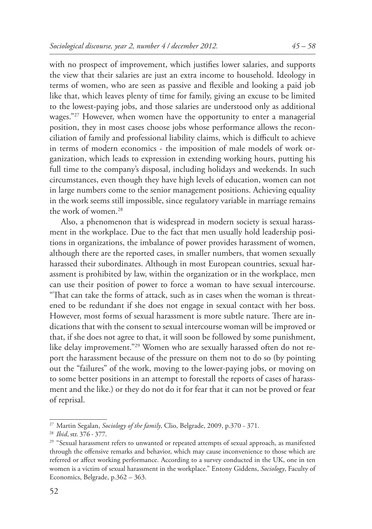with no prospect of improvement, which justifies lower salaries, and supports the view that their salaries are just an extra income to household. Ideology in terms of women, who are seen as passive and flexible and looking a paid job like that, which leaves plenty of time for family, giving an excuse to be limited to the lowest-paying jobs, and those salaries are understood only as additional wages."<sup>27</sup> However, when women have the opportunity to enter a managerial position, they in most cases choose jobs whose performance allows the reconciliation of family and professional liability claims, which is difficult to achieve in terms of modern economics - the imposition of male models of work organization, which leads to expression in extending working hours, putting his full time to the company's disposal, including holidays and weekends. In such circumstances, even though they have high levels of education, women can not in large numbers come to the senior management positions. Achieving equality in the work seems still impossible, since regulatory variable in marriage remains the work of women.28

Also, a phenomenon that is widespread in modern society is sexual harassment in the workplace. Due to the fact that men usually hold leadership positions in organizations, the imbalance of power provides harassment of women, although there are the reported cases, in smaller numbers, that women sexually harassed their subordinates. Although in most European countries, sexual harassment is prohibited by law, within the organization or in the workplace, men can use their position of power to force a woman to have sexual intercourse. "That can take the forms of attack, such as in cases when the woman is threatened to be redundant if she does not engage in sexual contact with her boss. However, most forms of sexual harassment is more subtle nature. There are indications that with the consent to sexual intercourse woman will be improved or that, if she does not agree to that, it will soon be followed by some punishment, like delay improvement."29 Women who are sexually harassed often do not report the harassment because of the pressure on them not to do so (by pointing out the "failures" of the work, moving to the lower-paying jobs, or moving on to some better positions in an attempt to forestall the reports of cases of harassment and the like.) or they do not do it for fear that it can not be proved or fear of reprisal.

<sup>27</sup> Martin Segalan, *Sociology of the family*, Clio, Belgrade, 2009, p.370 - 371.

<sup>28</sup> *Ibid*, str. 376 - 377.

<sup>&</sup>lt;sup>29</sup> "Sexual harassment refers to unwanted or repeated attempts of sexual approach, as manifested through the offensive remarks and behavior, which may cause inconvenience to those which are referred or affect working performance. According to a survey conducted in the UK, one in ten women is a victim of sexual harassment in the workplace." Entony Giddens, *Sociology*, Faculty of Economics, Belgrade, p.362 – 363.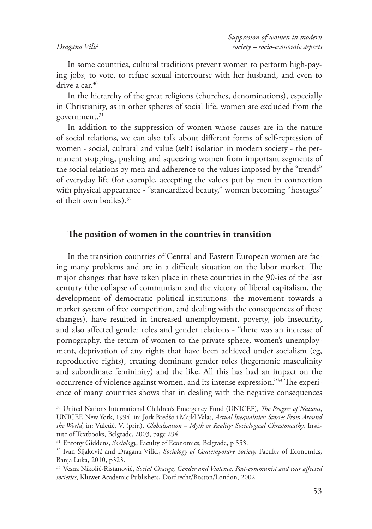In some countries, cultural traditions prevent women to perform high-paying jobs, to vote, to refuse sexual intercourse with her husband, and even to drive a car.<sup>30</sup>

In the hierarchy of the great religions (churches, denominations), especially in Christianity, as in other spheres of social life, women are excluded from the government.<sup>31</sup>

In addition to the suppression of women whose causes are in the nature of social relations, we can also talk about different forms of self-repression of women - social, cultural and value (self) isolation in modern society - the permanent stopping, pushing and squeezing women from important segments of the social relations by men and adherence to the values imposed by the "trends" of everyday life (for example, accepting the values put by men in connection with physical appearance - "standardized beauty," women becoming "hostages" of their own bodies).32

#### The position of women in the countries in transition

In the transition countries of Central and Eastern European women are facing many problems and are in a difficult situation on the labor market. The major changes that have taken place in these countries in the 90-ies of the last century (the collapse of communism and the victory of liberal capitalism, the development of democratic political institutions, the movement towards a market system of free competition, and dealing with the consequences of these changes), have resulted in increased unemployment, poverty, job insecurity, and also affected gender roles and gender relations - "there was an increase of pornography, the return of women to the private sphere, women's unemployment, deprivation of any rights that have been achieved under socialism (eg, reproductive rights), creating dominant gender roles (hegemonic masculinity and subordinate femininity) and the like. All this has had an impact on the occurrence of violence against women, and its intense expression."<sup>33</sup> The experience of many countries shows that in dealing with the negative consequences

<sup>&</sup>lt;sup>30</sup> United Nations International Children's Emergency Fund (UNICEF), *The Progres of Nations*, UNICEF, New York, 1994. in: Jork Bredšo i Majkl Valas, *Actual Inequalities: Stories From Around the World*, in: Vuletić, V. (prir.), *Globalisation – Myth or Reality: Sociological Chrestomathy*, Institute of Textbooks, Belgrade, 2003, page 294.

<sup>&</sup>lt;sup>31</sup> Entony Giddens, *Sociology*, Faculty of Economics, Belgrade, p 553.

<sup>32</sup> Ivan Šijaković and Dragana Vilić., *Sociology of Contemporary Society,* Faculty of Economics, Banja Luka, 2010, p323.

<sup>&</sup>lt;sup>33</sup> Vesna Nikolić-Ristanović, *Social Change, Gender and Violence: Post-communist and war affected societies*, Kluwer Academic Publishers, Dordrecht/Boston/London, 2002.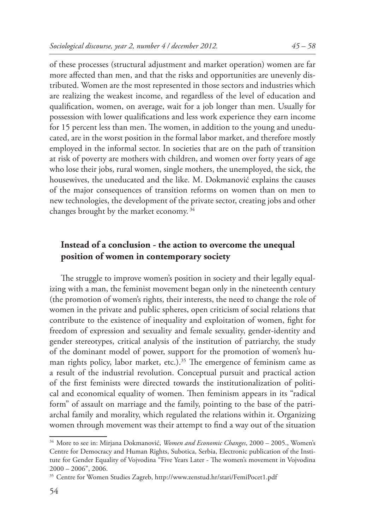of these processes (structural adjustment and market operation) women are far more affected than men, and that the risks and opportunities are unevenly distributed. Women are the most represented in those sectors and industries which are realizing the weakest income, and regardless of the level of education and qualification, women, on average, wait for a job longer than men. Usually for possession with lower qualifications and less work experience they earn income for 15 percent less than men. The women, in addition to the young and uneducated, are in the worst position in the formal labor market, and therefore mostly employed in the informal sector. In societies that are on the path of transition at risk of poverty are mothers with children, and women over forty years of age who lose their jobs, rural women, single mothers, the unemployed, the sick, the housewives, the uneducated and the like. M. Dokmanović explains the causes of the major consequences of transition reforms on women than on men to new technologies, the development of the private sector, creating jobs and other changes brought by the market economy. 34

## **Instead of a conclusion - the action to overcome the unequal position of women in contemporary society**

The struggle to improve women's position in society and their legally equalizing with a man, the feminist movement began only in the nineteenth century (the promotion of women's rights, their interests, the need to change the role of women in the private and public spheres, open criticism of social relations that contribute to the existence of inequality and exploitation of women, fight for freedom of expression and sexuality and female sexuality, gender-identity and gender stereotypes, critical analysis of the institution of patriarchy, the study of the dominant model of power, support for the promotion of women's human rights policy, labor market, etc.).<sup>35</sup> The emergence of feminism came as a result of the industrial revolution. Conceptual pursuit and practical action of the first feminists were directed towards the institutionalization of political and economical equality of women. Then feminism appears in its "radical form" of assault on marriage and the family, pointing to the base of the patriarchal family and morality, which regulated the relations within it. Organizing women through movement was their attempt to find a way out of the situation

<sup>34</sup> More to see in: Mirjana Dokmanović, *Women and Economic Changes*, 2000 – 2005., Women's Centre for Democracy and Human Rights, Subotica, Serbia, Electronic publication of the Institute for Gender Equality of Vojvodina "Five Years Later - The women's movement in Vojvodina 2000 – 2006", 2006.

<sup>35</sup> Centre for Women Studies Zagreb, http://www.zenstud.hr/stari/FemiPocet1.pdf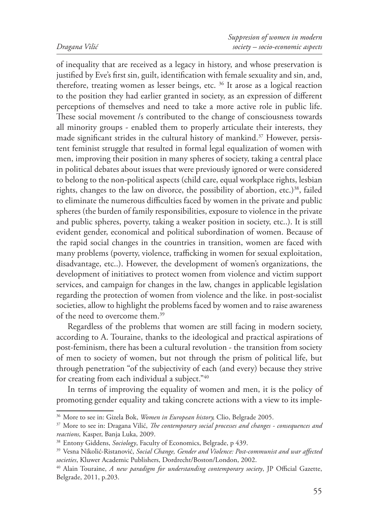of inequality that are received as a legacy in history, and whose preservation is justified by Eve's first sin, guilt, identification with female sexuality and sin, and, therefore, treating women as lesser beings, etc. 36 It arose as a logical reaction to the position they had earlier granted in society, as an expression of different perceptions of themselves and need to take a more active role in public life. These social movement /s contributed to the change of consciousness towards all minority groups - enabled them to properly articulate their interests, they made significant strides in the cultural history of mankind.<sup>37</sup> However, persistent feminist struggle that resulted in formal legal equalization of women with men, improving their position in many spheres of society, taking a central place in political debates about issues that were previously ignored or were considered to belong to the non-political aspects (child care, equal workplace rights, lesbian rights, changes to the law on divorce, the possibility of abortion, etc.)<sup>38</sup>, failed to eliminate the numerous difficulties faced by women in the private and public spheres (the burden of family responsibilities, exposure to violence in the private and public spheres, poverty, taking a weaker position in society, etc..). It is still evident gender, economical and political subordination of women. Because of the rapid social changes in the countries in transition, women are faced with many problems (poverty, violence, trafficking in women for sexual exploitation, disadvantage, etc..). However, the development of women's organizations, the development of initiatives to protect women from violence and victim support services, and campaign for changes in the law, changes in applicable legislation regarding the protection of women from violence and the like. in post-socialist societies, allow to highlight the problems faced by women and to raise awareness of the need to overcome them.39

Regardless of the problems that women are still facing in modern society, according to A. Touraine, thanks to the ideological and practical aspirations of post-feminism, there has been a cultural revolution - the transition from society of men to society of women, but not through the prism of political life, but through penetration "of the subjectivity of each (and every) because they strive for creating from each individual a subject."40

In terms of improving the equality of women and men, it is the policy of promoting gender equality and taking concrete actions with a view to its imple-

<sup>36</sup> More to see in: Gizela Bok, *Women in European history,* Clio, Belgrade 2005.

<sup>&</sup>lt;sup>37</sup> More to see in: Dragana Vilić, *The contemporary social processes and changes - consequences and reactions,* Kasper, Banja Luka, 2009.<br><sup>38</sup> Entony Giddens, *Sociology*, Faculty of Economics, Belgrade, p 439.

<sup>&</sup>lt;sup>39</sup> Vesna Nikolić-Ristanović, *Social Change, Gender and Violence: Post-communist and war affected societies*, Kluwer Academic Publishers, Dordrecht/Boston/London, 2002.<br><sup>40</sup> Alain Touraine, *A new paradigm for understanding contemporary society*, JP Official Gazette,

Belgrade, 2011, p.203.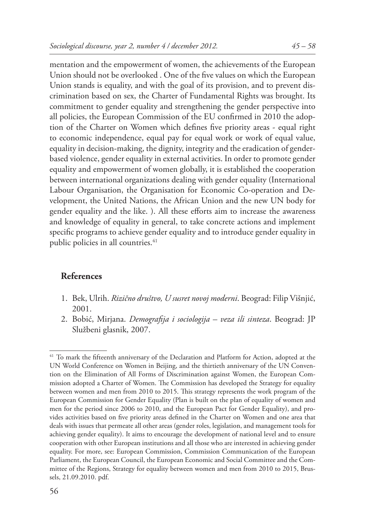mentation and the empowerment of women, the achievements of the European Union should not be overlooked. One of the five values on which the European Union stands is equality, and with the goal of its provision, and to prevent discrimination based on sex, the Charter of Fundamental Rights was brought. Its commitment to gender equality and strengthening the gender perspective into all policies, the European Commission of the EU confirmed in 2010 the adoption of the Charter on Women which defines five priority areas - equal right to economic independence, equal pay for equal work or work of equal value, equality in decision-making, the dignity, integrity and the eradication of genderbased violence, gender equality in external activities. In order to promote gender equality and empowerment of women globally, it is established the cooperation between international organizations dealing with gender equality (International Labour Organisation, the Organisation for Economic Co-operation and Development, the United Nations, the African Union and the new UN body for gender equality and the like. ). All these efforts aim to increase the awareness and knowledge of equality in general, to take concrete actions and implement specific programs to achieve gender equality and to introduce gender equality in public policies in all countries.<sup>41</sup>

### **References**

- 1. Bek, Ulrih. *Rizično društvo, U susret novoj moderni*. Beograd: Filip Višnjić, 2001.
- 2. Bobić, Mirjana. *Demografija i sociologija veza ili sinteza*. Beograd: JP Službeni glasnik, 2007.

<sup>&</sup>lt;sup>41</sup> To mark the fifteenth anniversary of the Declaration and Platform for Action, adopted at the UN World Conference on Women in Beijing, and the thirtieth anniversary of the UN Convention on the Elimination of All Forms of Discrimination against Women, the European Commission adopted a Charter of Women. The Commission has developed the Strategy for equality between women and men from 2010 to 2015. This strategy represents the work program of the European Commission for Gender Equality (Plan is built on the plan of equality of women and men for the period since 2006 to 2010, and the European Pact for Gender Equality), and provides activities based on five priority areas defined in the Charter on Women and one area that deals with issues that permeate all other areas (gender roles, legislation, and management tools for achieving gender equality). It aims to encourage the development of national level and to ensure cooperation with other European institutions and all those who are interested in achieving gender equality. For more, see: European Commission, Commission Communication of the European Parliament, the European Council, the European Economic and Social Committee and the Committee of the Regions, Strategy for equality between women and men from 2010 to 2015, Brussels, 21.09.2010. pdf.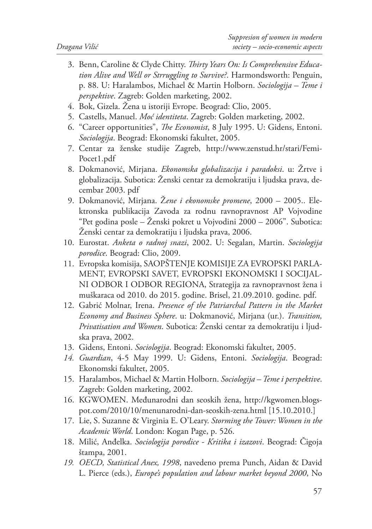- 3. Benn, Caroline & Clyde Chitty. *Th irty Years On: Is Comprehensive Education Alive and Well or Strruggling to Survive?*. Harmondsworth: Penguin, p. 88. U: Haralambos, Michael & Martin Holborn. *Sociologija – Teme i perspektive*. Zagreb: Golden marketing, 2002.
- 4. Bok, Gizela. Žena u istoriji Evrope. Beograd: Clio, 2005.
- 5. Castells, Manuel. *Moć identiteta*. Zagreb: Golden marketing, 2002.
- 6. "Career opportunities", *The Economist*, 8 July 1995. U: Gidens, Entoni. *Sociologija*. Beograd: Ekonomski fakultet, 2005.
- 7. Centar za ženske studije Zagreb, http://www.zenstud.hr/stari/Femi-Pocet1.pdf
- 8. Dokmanović, Mirjana. *Ekonomska globalizacija i paradoksi*. u: Žrtve i globalizacija. Subotica: Ženski centar za demokratiju i ljudska prava, decembar 2003. pdf
- 9. Dokmanović, Mirjana. Ž*ene i ekonomske promene*, 2000 2005.. Elektronska publikacija Zavoda za rodnu ravnopravnost AP Vojvodine "Pet godina posle – Ženski pokret u Vojvodini 2000 – 2006". Subotica: Ženski centar za demokratiju i ljudska prava, 2006.
- 10. Eurostat. *Anketa o radnoj snazi*, 2002. U: Segalan, Martin. *Sociologija porodice*. Beograd: Clio, 2009.
- 11. Evropska komisija, SAOPŠTENJE KOMISIJE ZA EVROPSKI PARLA-MENT, EVROPSKI SAVET, EVROPSKI EKONOMSKI I SOCIJAL-NI ODBOR I ODBOR REGIONA, Strategija za ravnopravnost žena i muškaraca od 2010. do 2015. godine. Brisel, 21.09.2010. godine. pdf.
- 12. Gabrić Molnar, Irena. *Presence of the Patriarchal Pattern in the Market Economy and Business Sphere*. u: Dokmanović, Mirjana (ur.). *Transition, Privatisation and Women*. Subotica: Ženski centar za demokratiju i ljudska prava, 2002.
- 13. Gidens, Entoni. *Sociologija*. Beograd: Ekonomski fakultet, 2005.
- *14. Guardian*, 4-5 May 1999. U: Gidens, Entoni. *Sociologija*. Beograd: Ekonomski fakultet, 2005.
- 15. Haralambos, Michael & Martin Holborn. *Sociologija Teme i perspektive*. Zagreb: Golden marketing, 2002.
- 16. KGWOMEN. Međunarodni dan seoskih žena, http://kgwomen.blogspot.com/2010/10/menunarodni-dan-seoskih-zena.html [15.10.2010.]
- 17. Lie, S. Suzanne & Virginia E. O'Leary. *Storming the Tower: Women in the Academic World*. London: Kogan Page, p. 526.
- 18. Milić, Anđelka. *Sociologija porodice Kritika i izazovi*. Beograd: Čigoja štampa, 2001.
- *19. OECD, Statistical Anex, 1998*, navedeno prema Punch, Aidan & David L. Pierce (eds.), *Europe's population and labour market beyond 2000*, No